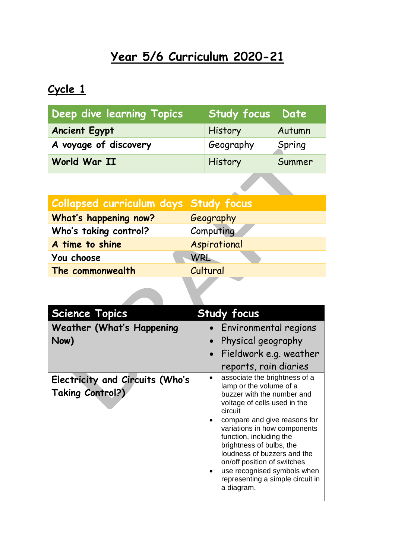## **Year 5/6 Curriculum 2020-21**

## **Cycle 1**

| <b>Deep dive learning Topics</b> | <b>Study focus Date</b> |        |
|----------------------------------|-------------------------|--------|
| <b>Ancient Egypt</b>             | History                 | Autumn |
| A voyage of discovery            | Geography               | Spring |
| World War II                     | History                 | Summer |
|                                  |                         |        |

| Collapsed curriculum days Study focus |              |
|---------------------------------------|--------------|
| What's happening now?                 | Geography    |
| Who's taking control?                 | Computing    |
| A time to shine                       | Aspirational |
| You choose                            | WRL          |
| The commonwealth                      | Cultural     |
|                                       |              |

| <b>Science Topics</b>                               | <b>Study focus</b>                                                                                                                                                                                                                                                                                                                                                                                      |
|-----------------------------------------------------|---------------------------------------------------------------------------------------------------------------------------------------------------------------------------------------------------------------------------------------------------------------------------------------------------------------------------------------------------------------------------------------------------------|
| <b>Weather (What's Happening</b>                    | Environmental regions                                                                                                                                                                                                                                                                                                                                                                                   |
| Now)                                                | Physical geography                                                                                                                                                                                                                                                                                                                                                                                      |
|                                                     | • Fieldwork e.g. weather                                                                                                                                                                                                                                                                                                                                                                                |
|                                                     | reports, rain diaries                                                                                                                                                                                                                                                                                                                                                                                   |
| Electricity and Circuits (Who's<br>Taking Control?) | associate the brightness of a<br>lamp or the volume of a<br>buzzer with the number and<br>voltage of cells used in the<br>circuit<br>compare and give reasons for<br>variations in how components<br>function, including the<br>brightness of bulbs, the<br>loudness of buzzers and the<br>on/off position of switches<br>use recognised symbols when<br>representing a simple circuit in<br>a diagram. |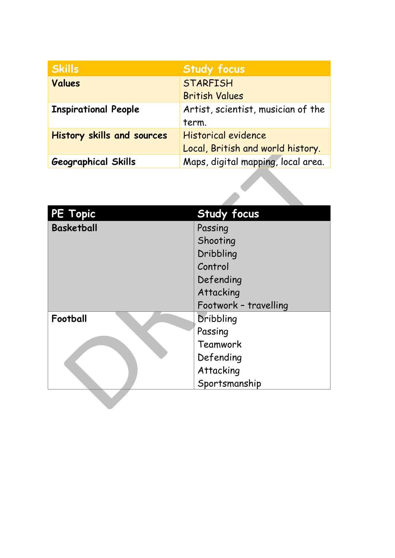| <b>Skills</b>                     | <b>Study focus</b>                 |
|-----------------------------------|------------------------------------|
| <b>Values</b>                     | <b>STARFISH</b>                    |
|                                   | <b>British Values</b>              |
| <b>Inspirational People</b>       | Artist, scientist, musician of the |
|                                   | term.                              |
| <b>History skills and sources</b> | Historical evidence                |
|                                   | Local, British and world history.  |
| <b>Geographical Skills</b>        | Maps, digital mapping, local area. |

| <b>PE Topic</b>   | <b>Study focus</b>    |
|-------------------|-----------------------|
| <b>Basketball</b> | Passing               |
|                   | Shooting              |
|                   | Dribbling             |
|                   | Control               |
|                   | Defending             |
|                   | Attacking             |
|                   | Footwork - travelling |
| Football          | Dribbling             |
|                   | Passing               |
|                   | Teamwork              |
|                   | Defending             |
|                   | Attacking             |
|                   | Sportsmanship         |
|                   |                       |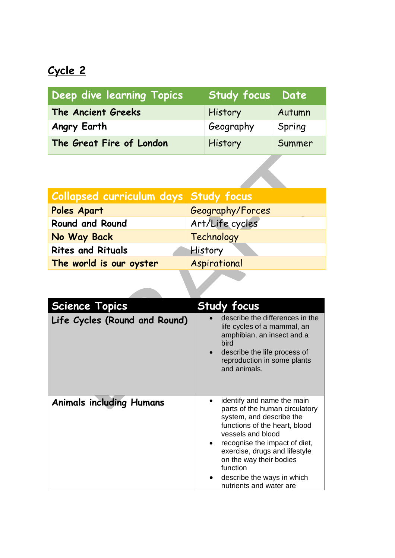## **Cycle 2**

| Deep dive learning Topics | <b>Study focus Date</b> |        |
|---------------------------|-------------------------|--------|
| The Ancient Greeks        | History                 | Autumn |
| Angry Earth               | Geography               | Spring |
| The Great Fire of London  | History                 | Summer |
|                           |                         |        |

| <b>Collapsed curriculum days Study focus</b> |                  |
|----------------------------------------------|------------------|
| Poles Apart                                  | Geography/Forces |
| <b>Round and Round</b>                       | Art/Life cycles  |
| No Way Back                                  | Technology       |
| <b>Rites and Rituals</b>                     | History          |
| The world is our oyster                      | Aspirational     |
|                                              |                  |

| <b>Science Topics</b>           | <b>Study focus</b>                                                                                                                                                                                                                                                                                               |
|---------------------------------|------------------------------------------------------------------------------------------------------------------------------------------------------------------------------------------------------------------------------------------------------------------------------------------------------------------|
| Life Cycles (Round and Round)   | describe the differences in the<br>life cycles of a mammal, an<br>amphibian, an insect and a<br><b>bird</b><br>describe the life process of<br>reproduction in some plants<br>and animals.                                                                                                                       |
| <b>Animals including Humans</b> | identify and name the main<br>parts of the human circulatory<br>system, and describe the<br>functions of the heart, blood<br>vessels and blood<br>recognise the impact of diet,<br>exercise, drugs and lifestyle<br>on the way their bodies<br>function<br>describe the ways in which<br>nutrients and water are |